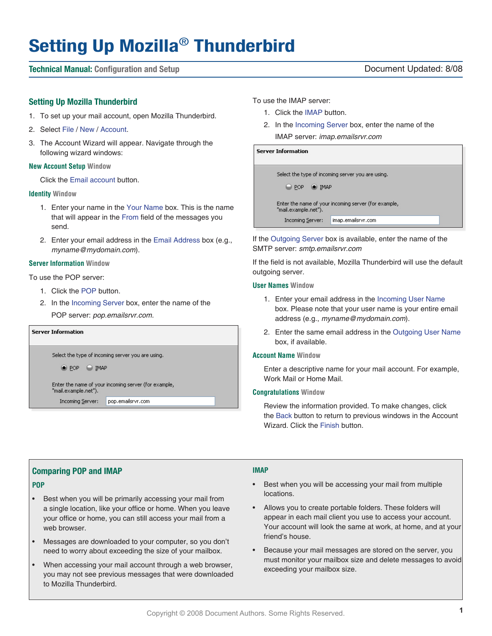# **Setting Up Mozilla**® **Thunderbird**

### **Technical Manual: Configuration and Setup** Document Updated: 8/08

### **Setting Up Mozilla Thunderbird**

- 1. To set up your mail account, open Mozilla Thunderbird.
- 2. Select File / New / Account.
- 3. The Account Wizard will appear. Navigate through the following wizard windows:

### **New Account Setup Window**

Click the Email account button.

### **Identity Window**

- 1. Enter your name in the Your Name box. This is the name that will appear in the From field of the messages you send.
- 2. Enter your email address in the Email Address box (e.g., *myname@mydomain.com*).

### **Server Information Window**

To use the POP server:

- 1. Click the POP button.
- 2. In the Incoming Server box, enter the name of the POP server: *pop.emailsrvr.com.*

| <b>Server Information</b> |                                                                              |                                                   |  |  |
|---------------------------|------------------------------------------------------------------------------|---------------------------------------------------|--|--|
|                           |                                                                              | Select the type of incoming server you are using. |  |  |
|                           | <b>IMAP</b><br>I POP                                                         |                                                   |  |  |
|                           | Enter the name of your incoming server (for example,<br>"mail.example.net"). |                                                   |  |  |
|                           | <b>Incoming Server:</b>                                                      | pop.emailsrvr.com                                 |  |  |

To use the IMAP server:

- 1. Click the IMAP button.
- 2. In the Incoming Server box, enter the name of the IMAP server: *imap.emailsrvr.com*

**Server Information** 

| $\bigcirc$ POP $\bigcirc$ IMAP | Select the type of incoming server you are using.    |
|--------------------------------|------------------------------------------------------|
| "mail.example.net").           | Enter the name of your incoming server (for example, |
| <b>Incoming Server:</b>        | imap.emailsrvr.com                                   |
|                                |                                                      |

If the Outgoing Server box is available, enter the name of the SMTP server: *smtp.emailsrvr.com*

If the field is not available, Mozilla Thunderbird will use the default outgoing server.

### **User Names Window**

- 1. Enter your email address in the Incoming User Name box. Please note that your user name is your entire email address (e.g., *myname@mydomain.com*).
- 2. Enter the same email address in the Outgoing User Name box, if available.

### **Account Name Window**

Enter a descriptive name for your mail account. For example, Work Mail or Home Mail.

### **Congratulations Window**

Review the information provided. To make changes, click the Back button to return to previous windows in the Account Wizard. Click the Finish button.

## **Comparing POP and IMAP**

### **POP**

- Best when you will be primarily accessing your mail from a single location, like your office or home. When you leave your office or home, you can still access your mail from a web browser.
- Messages are downloaded to your computer, so you don't need to worry about exceeding the size of your mailbox.
- When accessing your mail account through a web browser, you may not see previous messages that were downloaded to Mozilla Thunderbird.

### **IMAP**

- Best when you will be accessing your mail from multiple locations.
- Allows you to create portable folders. These folders will appear in each mail client you use to access your account. Your account will look the same at work, at home, and at your friend's house.
- Because your mail messages are stored on the server, you must monitor your mailbox size and delete messages to avoid exceeding your mailbox size.